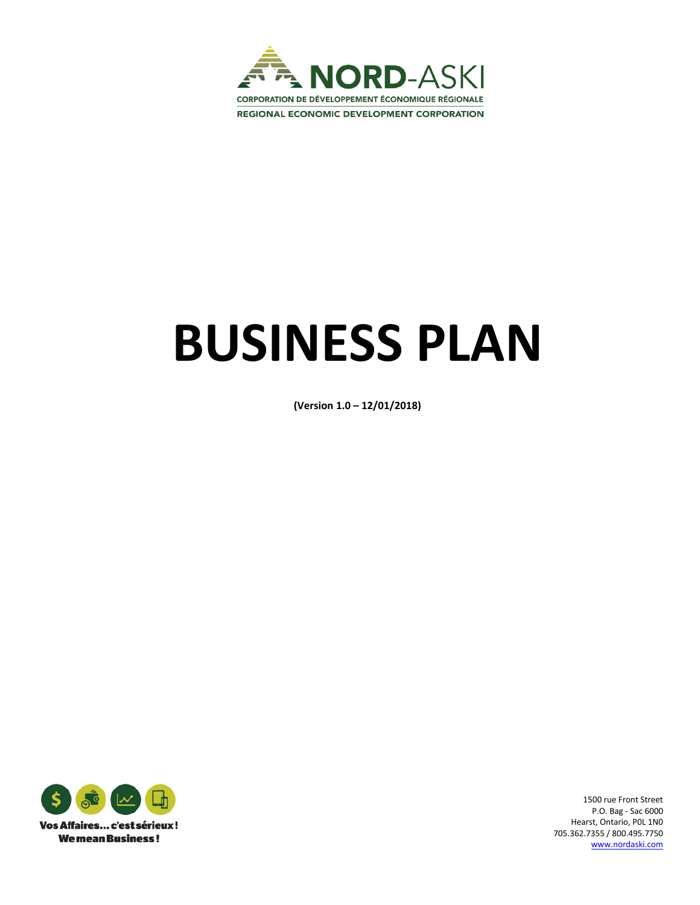

# **BUSINESS PLAN**

**(Version 1.0 – 12/01/2018)**



1500 rue Front Street P.O. Bag - Sac 6000 Hearst, Ontario, P0L 1N0 705.362.7355 / 800.495.7750 [www.nordaski.com](http://www.nordaski.com/)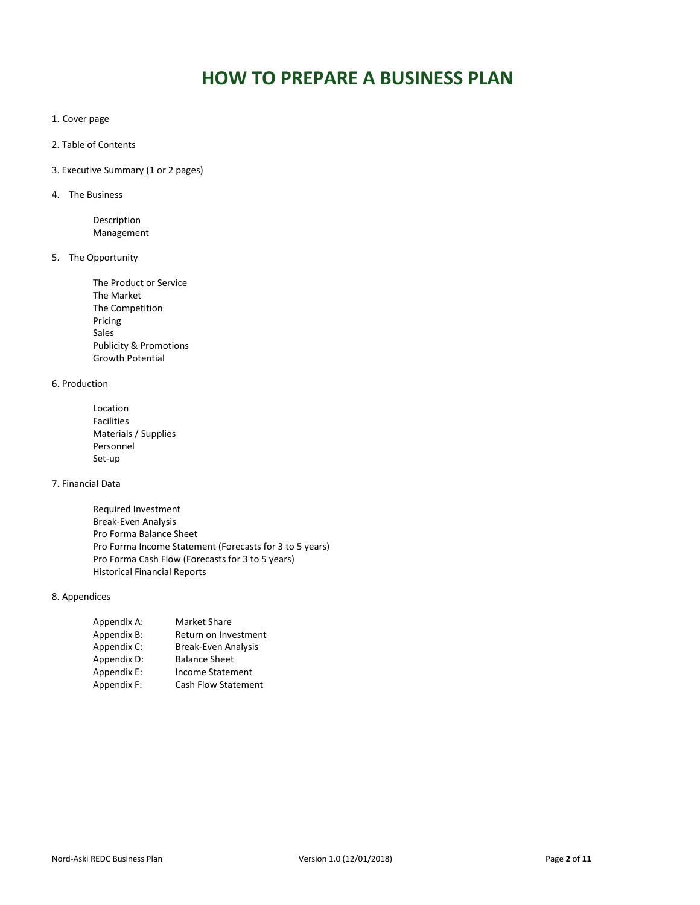# **HOW TO PREPARE A BUSINESS PLAN**

- 1. Cover page
- 2. Table of Contents
- 3. Executive Summary (1 or 2 pages)
- 4. The Business

Description Management

5. The Opportunity

The Product or Service The Market The Competition Pricing Sales Publicity & Promotions Growth Potential

# 6. Production

Location Facilities Materials / Supplies Personnel Set-up

# 7. Financial Data

Required Investment Break-Even Analysis Pro Forma Balance Sheet Pro Forma Income Statement (Forecasts for 3 to 5 years) Pro Forma Cash Flow (Forecasts for 3 to 5 years) Historical Financial Reports

# 8. Appendices

| Appendix A: | <b>Market Share</b>        |
|-------------|----------------------------|
| Appendix B: | Return on Investment       |
| Appendix C: | <b>Break-Even Analysis</b> |
| Appendix D: | <b>Balance Sheet</b>       |
| Appendix E: | <b>Income Statement</b>    |
| Appendix F: | Cash Flow Statement        |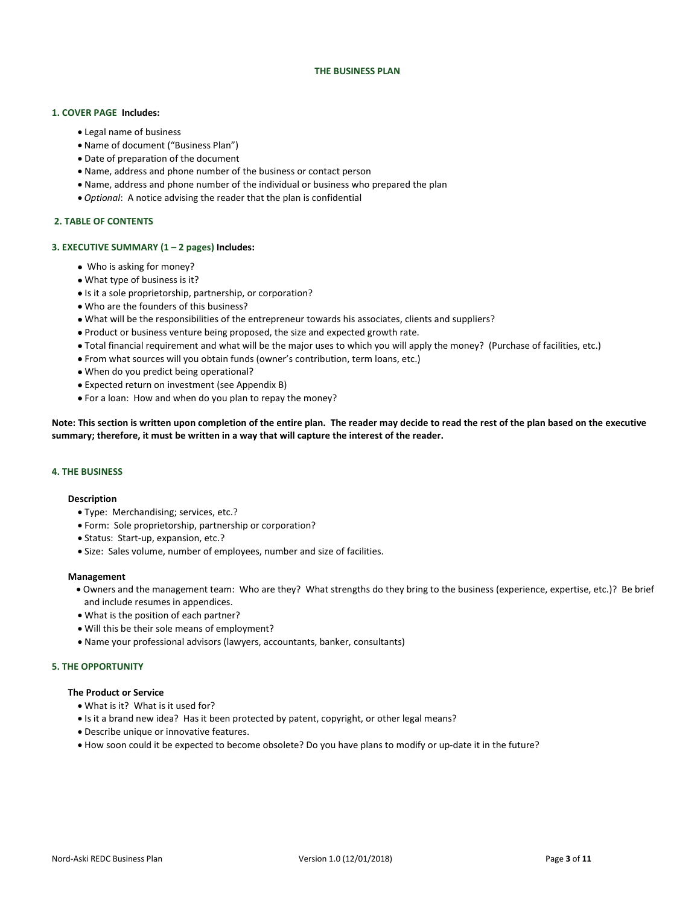#### **THE BUSINESS PLAN**

# **1. COVER PAGE Includes:**

- Legal name of business
- Name of document ("Business Plan")
- Date of preparation of the document
- Name, address and phone number of the business or contact person
- Name, address and phone number of the individual or business who prepared the plan
- *Optional*: A notice advising the reader that the plan is confidential

#### **2. TABLE OF CONTENTS**

#### **3. EXECUTIVE SUMMARY (1 – 2 pages) Includes:**

- Who is asking for money?
- What type of business is it?
- Is it a sole proprietorship, partnership, or corporation?
- Who are the founders of this business?
- What will be the responsibilities of the entrepreneur towards his associates, clients and suppliers?
- Product or business venture being proposed, the size and expected growth rate.
- Total financial requirement and what will be the major uses to which you will apply the money? (Purchase of facilities, etc.)
- From what sources will you obtain funds (owner's contribution, term loans, etc.)
- When do you predict being operational?
- Expected return on investment (see Appendix B)
- For a loan: How and when do you plan to repay the money?

**Note: This section is written upon completion of the entire plan. The reader may decide to read the rest of the plan based on the executive summary; therefore, it must be written in a way that will capture the interest of the reader.**

# **4. THE BUSINESS**

#### **Description**

- Type: Merchandising; services, etc.?
- Form: Sole proprietorship, partnership or corporation?
- Status: Start-up, expansion, etc.?
- Size: Sales volume, number of employees, number and size of facilities.

#### **Management**

- Owners and the management team: Who are they? What strengths do they bring to the business (experience, expertise, etc.)? Be brief and include resumes in appendices.
- What is the position of each partner?
- Will this be their sole means of employment?
- Name your professional advisors (lawyers, accountants, banker, consultants)

#### **5. THE OPPORTUNITY**

#### **The Product or Service**

- What is it? What is it used for?
- Is it a brand new idea? Has it been protected by patent, copyright, or other legal means?
- Describe unique or innovative features.
- How soon could it be expected to become obsolete? Do you have plans to modify or up-date it in the future?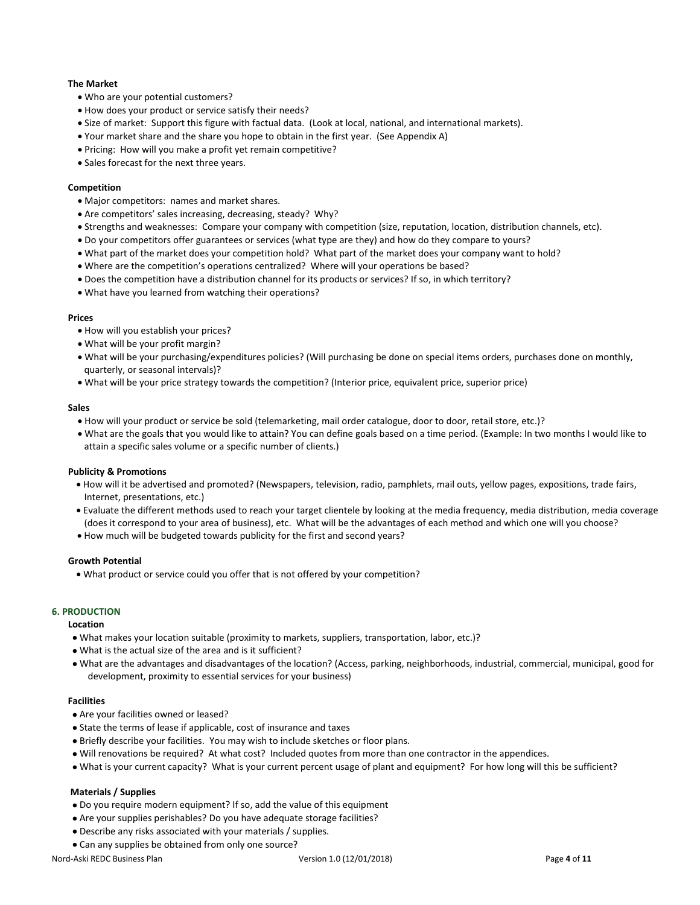# **The Market**

- Who are your potential customers?
- How does your product or service satisfy their needs?
- Size of market: Support this figure with factual data. (Look at local, national, and international markets).
- Your market share and the share you hope to obtain in the first year. (See Appendix A)
- Pricing: How will you make a profit yet remain competitive?
- Sales forecast for the next three years.

# **Competition**

- Major competitors: names and market shares.
- Are competitors' sales increasing, decreasing, steady? Why?
- Strengths and weaknesses: Compare your company with competition (size, reputation, location, distribution channels, etc).
- Do your competitors offer guarantees or services (what type are they) and how do they compare to yours?
- What part of the market does your competition hold? What part of the market does your company want to hold?
- Where are the competition's operations centralized? Where will your operations be based?
- Does the competition have a distribution channel for its products or services? If so, in which territory?
- What have you learned from watching their operations?

#### **Prices**

- How will you establish your prices?
- What will be your profit margin?
- What will be your purchasing/expenditures policies? (Will purchasing be done on special items orders, purchases done on monthly, quarterly, or seasonal intervals)?
- What will be your price strategy towards the competition? (Interior price, equivalent price, superior price)

#### **Sales**

- How will your product or service be sold (telemarketing, mail order catalogue, door to door, retail store, etc.)?
- What are the goals that you would like to attain? You can define goals based on a time period. (Example: In two months I would like to attain a specific sales volume or a specific number of clients.)

#### **Publicity & Promotions**

- How will it be advertised and promoted? (Newspapers, television, radio, pamphlets, mail outs, yellow pages, expositions, trade fairs, Internet, presentations, etc.)
- Evaluate the different methods used to reach your target clientele by looking at the media frequency, media distribution, media coverage (does it correspond to your area of business), etc. What will be the advantages of each method and which one will you choose?
- How much will be budgeted towards publicity for the first and second years?

#### **Growth Potential**

• What product or service could you offer that is not offered by your competition?

# **6. PRODUCTION**

#### **Location**

- What makes your location suitable (proximity to markets, suppliers, transportation, labor, etc.)?
- What is the actual size of the area and is it sufficient?
- What are the advantages and disadvantages of the location? (Access, parking, neighborhoods, industrial, commercial, municipal, good for development, proximity to essential services for your business)

#### **Facilities**

- Are your facilities owned or leased?
- State the terms of lease if applicable, cost of insurance and taxes
- Briefly describe your facilities. You may wish to include sketches or floor plans.
- Will renovations be required? At what cost? Included quotes from more than one contractor in the appendices.
- What is your current capacity? What is your current percent usage of plant and equipment? For how long will this be sufficient?

# **Materials / Supplies**

- Do you require modern equipment? If so, add the value of this equipment
- Are your supplies perishables? Do you have adequate storage facilities?
- Describe any risks associated with your materials / supplies.
- Can any supplies be obtained from only one source?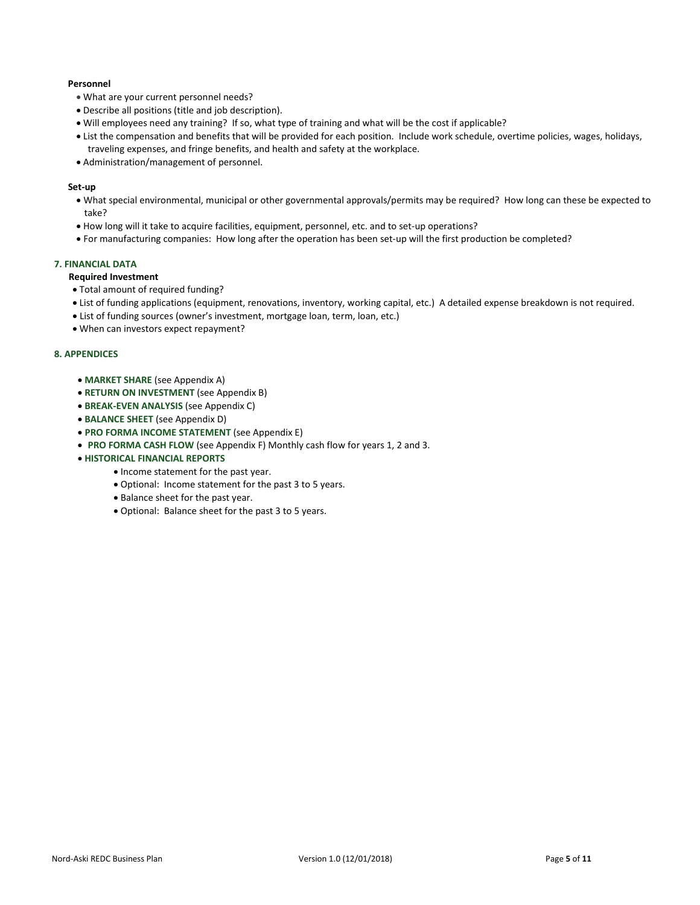# **Personnel**

- What are your current personnel needs?
- Describe all positions (title and job description).
- Will employees need any training? If so, what type of training and what will be the cost if applicable?
- List the compensation and benefits that will be provided for each position. Include work schedule, overtime policies, wages, holidays, traveling expenses, and fringe benefits, and health and safety at the workplace.
- Administration/management of personnel.

# **Set-up**

- What special environmental, municipal or other governmental approvals/permits may be required? How long can these be expected to take?
- How long will it take to acquire facilities, equipment, personnel, etc. and to set-up operations?
- For manufacturing companies: How long after the operation has been set-up will the first production be completed?

# **7. FINANCIAL DATA**

# **Required Investment**

- Total amount of required funding?
- List of funding applications (equipment, renovations, inventory, working capital, etc.) A detailed expense breakdown is not required.
- List of funding sources (owner's investment, mortgage loan, term, loan, etc.)
- When can investors expect repayment?

#### **8. APPENDICES**

- **MARKET SHARE** (see Appendix A)
- **RETURN ON INVESTMENT** (see Appendix B)
- **BREAK-EVEN ANALYSIS** (see Appendix C)
- **BALANCE SHEET** (see Appendix D)
- **PRO FORMA INCOME STATEMENT** (see Appendix E)
- **PRO FORMA CASH FLOW** (see Appendix F) Monthly cash flow for years 1, 2 and 3.
- **HISTORICAL FINANCIAL REPORTS**
	- Income statement for the past year.
	- Optional: Income statement for the past 3 to 5 years.
	- Balance sheet for the past year.
	- Optional: Balance sheet for the past 3 to 5 years.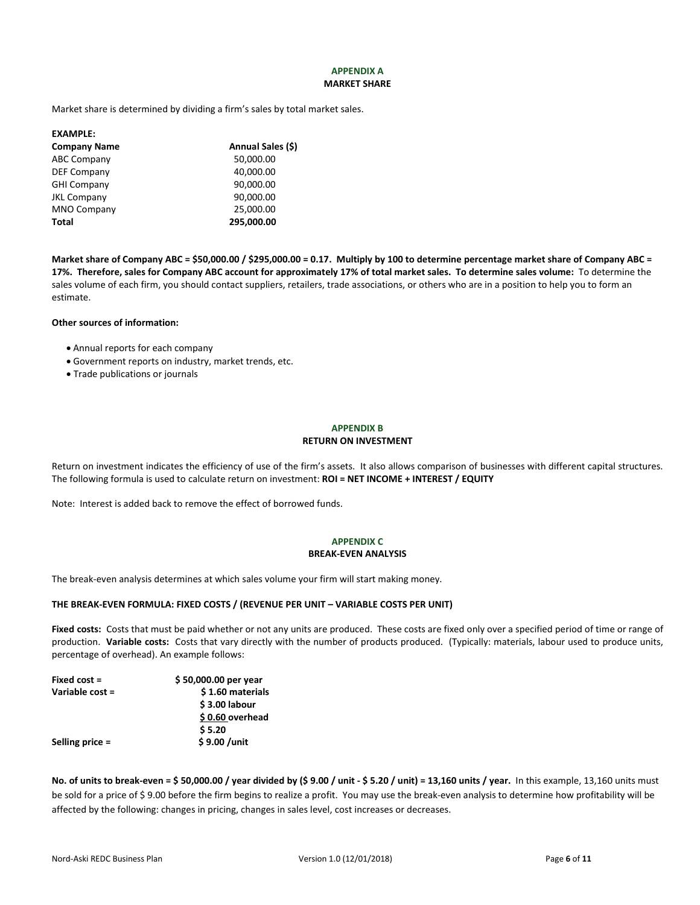# **APPENDIX A MARKET SHARE**

Market share is determined by dividing a firm's sales by total market sales.

| <b>Company Name</b><br>50,000.00<br><b>ABC Company</b><br>40,000.00<br><b>DEF Company</b><br><b>GHI Company</b><br>90,000.00<br>90,000.00<br><b>JKL Company</b><br>25,000.00<br><b>MNO Company</b><br>295,000.00<br>Total | <b>EXAMPLE:</b> |                   |
|---------------------------------------------------------------------------------------------------------------------------------------------------------------------------------------------------------------------------|-----------------|-------------------|
|                                                                                                                                                                                                                           |                 | Annual Sales (\$) |
|                                                                                                                                                                                                                           |                 |                   |
|                                                                                                                                                                                                                           |                 |                   |
|                                                                                                                                                                                                                           |                 |                   |
|                                                                                                                                                                                                                           |                 |                   |
|                                                                                                                                                                                                                           |                 |                   |
|                                                                                                                                                                                                                           |                 |                   |

**Market share of Company ABC = \$50,000.00 / \$295,000.00 = 0.17. Multiply by 100 to determine percentage market share of Company ABC = 17%. Therefore, sales for Company ABC account for approximately 17% of total market sales. To determine sales volume:** To determine the sales volume of each firm, you should contact suppliers, retailers, trade associations, or others who are in a position to help you to form an estimate.

# **Other sources of information:**

- Annual reports for each company
- Government reports on industry, market trends, etc.
- Trade publications or journals

# **APPENDIX B RETURN ON INVESTMENT**

Return on investment indicates the efficiency of use of the firm's assets. It also allows comparison of businesses with different capital structures. The following formula is used to calculate return on investment: **ROI = NET INCOME + INTEREST / EQUITY**

Note: Interest is added back to remove the effect of borrowed funds.

# **APPENDIX C BREAK-EVEN ANALYSIS**

The break-even analysis determines at which sales volume your firm will start making money.

#### **THE BREAK-EVEN FORMULA: FIXED COSTS / (REVENUE PER UNIT – VARIABLE COSTS PER UNIT)**

Fixed costs: Costs that must be paid whether or not any units are produced. These costs are fixed only over a specified period of time or range of production. **Variable costs:** Costs that vary directly with the number of products produced. (Typically: materials, labour used to produce units, percentage of overhead). An example follows:

| \$50,000.00 per year |
|----------------------|
| \$1.60 materials     |
| \$3.00 labour        |
| \$0.60 overhead      |
| \$5.20               |
| \$9.00 /unit         |
|                      |

**No. of units to break-even = \$ 50,000.00 / year divided by (\$ 9.00 / unit - \$ 5.20 / unit) = 13,160 units / year.** In this example, 13,160 units must be sold for a price of \$ 9.00 before the firm begins to realize a profit. You may use the break-even analysis to determine how profitability will be affected by the following: changes in pricing, changes in sales level, cost increases or decreases.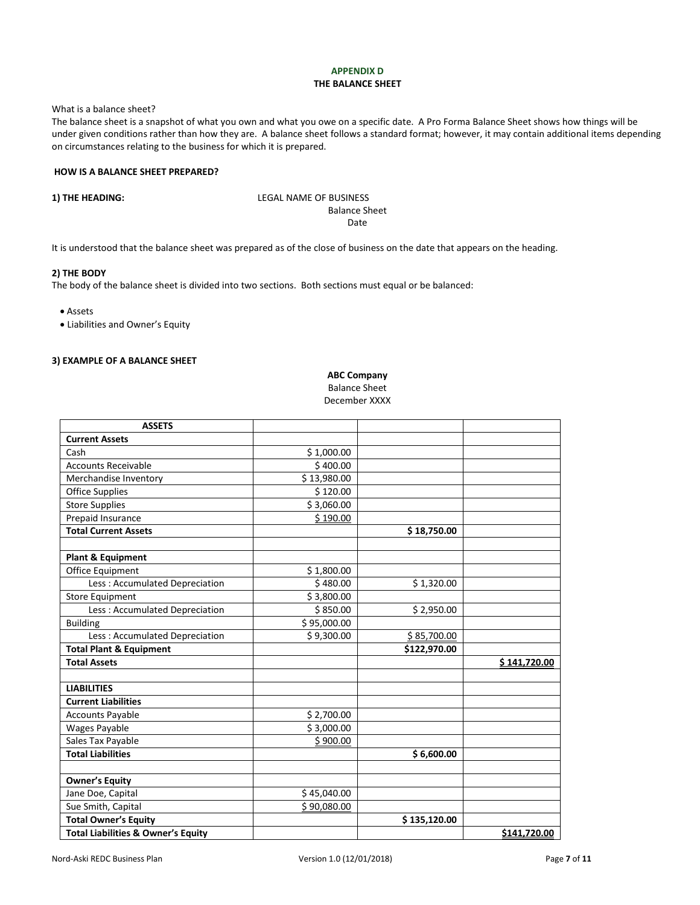# **APPENDIX D THE BALANCE SHEET**

What is a balance sheet?

The balance sheet is a snapshot of what you own and what you owe on a specific date. A Pro Forma Balance Sheet shows how things will be under given conditions rather than how they are. A balance sheet follows a standard format; however, it may contain additional items depending on circumstances relating to the business for which it is prepared.

# **HOW IS A BALANCE SHEET PREPARED?**

**1) THE HEADING:** LEGAL NAME OF BUSINESS Balance Sheet Date

It is understood that the balance sheet was prepared as of the close of business on the date that appears on the heading.

#### **2) THE BODY**

The body of the balance sheet is divided into two sections. Both sections must equal or be balanced:

• Assets

• Liabilities and Owner's Equity

#### **3) EXAMPLE OF A BALANCE SHEET**

**ABC Company**

Balance Sheet December XXXX

| <b>ASSETS</b>                                 |             |              |              |
|-----------------------------------------------|-------------|--------------|--------------|
| <b>Current Assets</b>                         |             |              |              |
| Cash                                          | \$1,000.00  |              |              |
| <b>Accounts Receivable</b>                    | \$400.00    |              |              |
| Merchandise Inventory                         | \$13,980.00 |              |              |
| <b>Office Supplies</b>                        | \$120.00    |              |              |
| <b>Store Supplies</b>                         | \$3,060.00  |              |              |
| Prepaid Insurance                             | \$190.00    |              |              |
| <b>Total Current Assets</b>                   |             | \$18,750.00  |              |
|                                               |             |              |              |
| <b>Plant &amp; Equipment</b>                  |             |              |              |
| Office Equipment                              | \$1,800.00  |              |              |
| Less: Accumulated Depreciation                | \$480.00    | \$1,320.00   |              |
| <b>Store Equipment</b>                        | \$3,800.00  |              |              |
| Less: Accumulated Depreciation                | \$850.00    | \$2,950.00   |              |
| <b>Building</b>                               | \$95,000.00 |              |              |
| Less: Accumulated Depreciation                | \$9,300.00  | \$85,700.00  |              |
| <b>Total Plant &amp; Equipment</b>            |             | \$122,970.00 |              |
| <b>Total Assets</b>                           |             |              | \$141,720.00 |
|                                               |             |              |              |
| <b>LIABILITIES</b>                            |             |              |              |
| <b>Current Liabilities</b>                    |             |              |              |
| <b>Accounts Payable</b>                       | \$2,700.00  |              |              |
| Wages Payable                                 | \$3,000.00  |              |              |
| Sales Tax Payable                             | \$900.00    |              |              |
| <b>Total Liabilities</b>                      |             | \$6,600.00   |              |
|                                               |             |              |              |
| <b>Owner's Equity</b>                         |             |              |              |
| Jane Doe, Capital                             | \$45,040.00 |              |              |
| Sue Smith, Capital                            | \$90,080.00 |              |              |
| <b>Total Owner's Equity</b>                   |             | \$135,120.00 |              |
| <b>Total Liabilities &amp; Owner's Equity</b> |             |              | \$141,720.00 |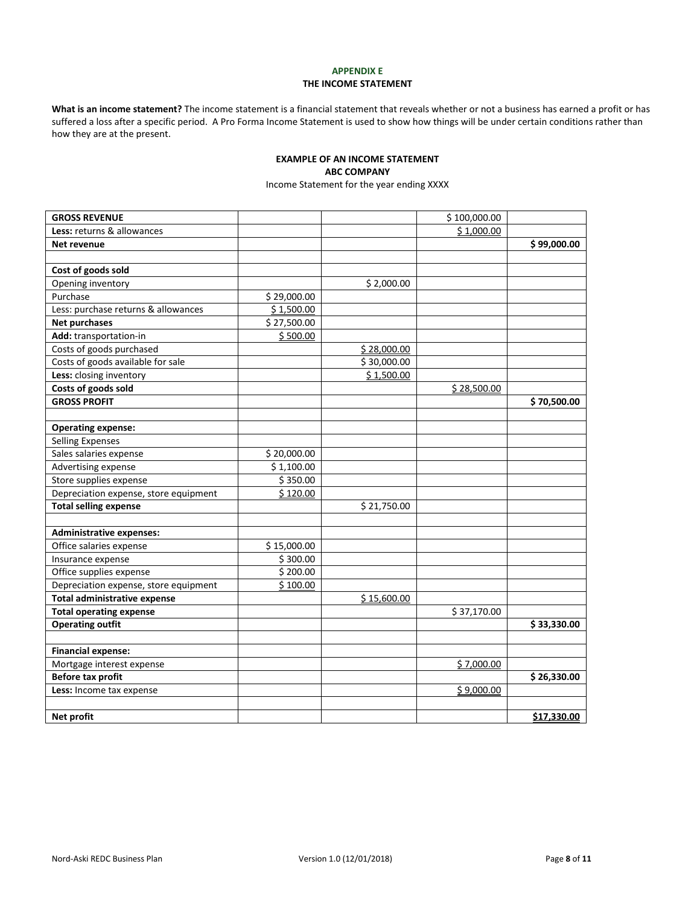# **APPENDIX E THE INCOME STATEMENT**

**What is an income statement?** The income statement is a financial statement that reveals whether or not a business has earned a profit or has suffered a loss after a specific period. A Pro Forma Income Statement is used to show how things will be under certain conditions rather than how they are at the present.

# **EXAMPLE OF AN INCOME STATEMENT ABC COMPANY**

Income Statement for the year ending XXXX

| <b>GROSS REVENUE</b>                  |             |             | \$100,000.00 |             |
|---------------------------------------|-------------|-------------|--------------|-------------|
| Less: returns & allowances            |             |             | \$1,000.00   |             |
| Net revenue                           |             |             |              | \$99,000.00 |
|                                       |             |             |              |             |
| Cost of goods sold                    |             |             |              |             |
| Opening inventory                     |             | \$2,000.00  |              |             |
| Purchase                              | \$29,000.00 |             |              |             |
| Less: purchase returns & allowances   | \$1,500.00  |             |              |             |
| <b>Net purchases</b>                  | \$27,500.00 |             |              |             |
| Add: transportation-in                | \$500.00    |             |              |             |
| Costs of goods purchased              |             | \$28,000.00 |              |             |
| Costs of goods available for sale     |             | \$30,000.00 |              |             |
| Less: closing inventory               |             | \$1,500.00  |              |             |
| Costs of goods sold                   |             |             | \$28,500.00  |             |
| <b>GROSS PROFIT</b>                   |             |             |              | \$70,500.00 |
|                                       |             |             |              |             |
| <b>Operating expense:</b>             |             |             |              |             |
| <b>Selling Expenses</b>               |             |             |              |             |
| Sales salaries expense                | \$20,000.00 |             |              |             |
| Advertising expense                   | \$1,100.00  |             |              |             |
| Store supplies expense                | \$350.00    |             |              |             |
| Depreciation expense, store equipment | \$120.00    |             |              |             |
| <b>Total selling expense</b>          |             | \$21,750.00 |              |             |
|                                       |             |             |              |             |
| <b>Administrative expenses:</b>       |             |             |              |             |
| Office salaries expense               | \$15,000.00 |             |              |             |
| Insurance expense                     | \$300.00    |             |              |             |
| Office supplies expense               | \$200.00    |             |              |             |
| Depreciation expense, store equipment | \$100.00    |             |              |             |
| <b>Total administrative expense</b>   |             | \$15,600.00 |              |             |
| <b>Total operating expense</b>        |             |             | \$37,170.00  |             |
| <b>Operating outfit</b>               |             |             |              | \$33,330.00 |
|                                       |             |             |              |             |
| <b>Financial expense:</b>             |             |             |              |             |
| Mortgage interest expense             |             |             | \$7,000.00   |             |
| <b>Before tax profit</b>              |             |             |              | \$26,330.00 |
| Less: Income tax expense              |             |             | \$9,000.00   |             |
|                                       |             |             |              |             |
| Net profit                            |             |             |              | \$17,330.00 |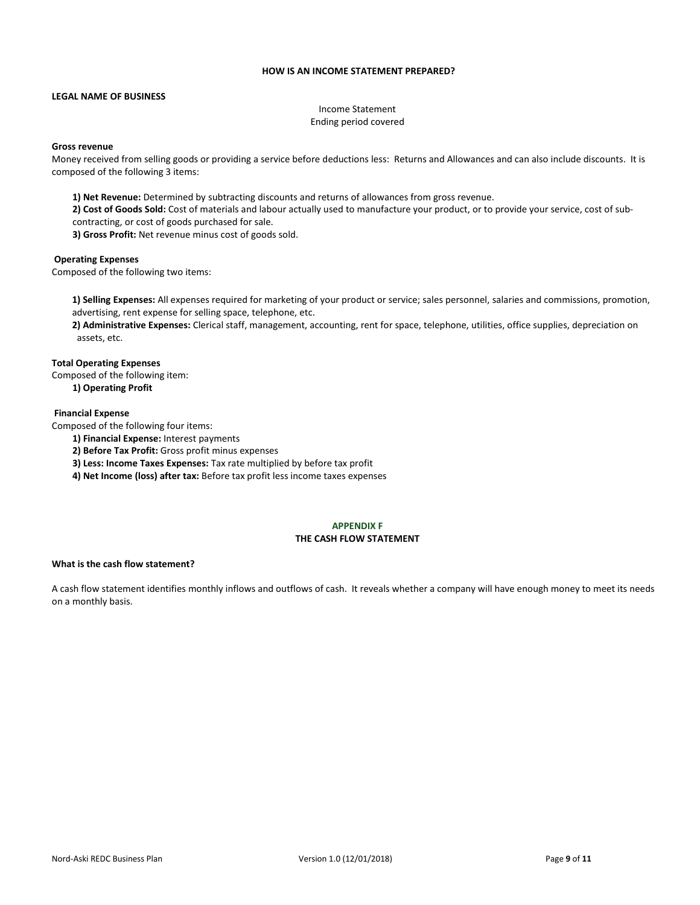# **HOW IS AN INCOME STATEMENT PREPARED?**

#### **LEGAL NAME OF BUSINESS**

Income Statement Ending period covered

#### **Gross revenue**

Money received from selling goods or providing a service before deductions less: Returns and Allowances and can also include discounts. It is composed of the following 3 items:

**1) Net Revenue:** Determined by subtracting discounts and returns of allowances from gross revenue.

**2) Cost of Goods Sold:** Cost of materials and labour actually used to manufacture your product, or to provide your service, cost of subcontracting, or cost of goods purchased for sale.

**3) Gross Profit:** Net revenue minus cost of goods sold.

#### **Operating Expenses**

Composed of the following two items:

**1) Selling Expenses:** All expenses required for marketing of your product or service; sales personnel, salaries and commissions, promotion, advertising, rent expense for selling space, telephone, etc.

**2) Administrative Expenses:** Clerical staff, management, accounting, rent for space, telephone, utilities, office supplies, depreciation on assets, etc.

#### **Total Operating Expenses**

Composed of the following item:

**1) Operating Profit**

# **Financial Expense**

Composed of the following four items:

- **1) Financial Expense:** Interest payments
- **2) Before Tax Profit:** Gross profit minus expenses
- **3) Less: Income Taxes Expenses:** Tax rate multiplied by before tax profit
- **4) Net Income (loss) after tax:** Before tax profit less income taxes expenses

#### **APPENDIX F THE CASH FLOW STATEMENT**

#### **What is the cash flow statement?**

A cash flow statement identifies monthly inflows and outflows of cash. It reveals whether a company will have enough money to meet its needs on a monthly basis.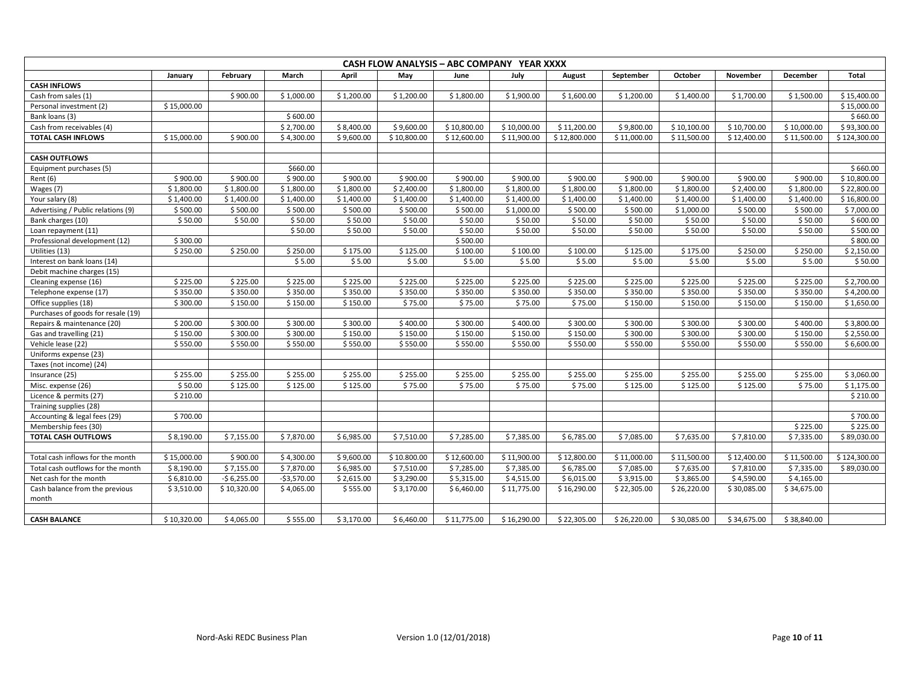| CASH FLOW ANALYSIS - ABC COMPANY YEAR XXXX |             |              |              |            |             |             |             |              |             |             |             |             |              |
|--------------------------------------------|-------------|--------------|--------------|------------|-------------|-------------|-------------|--------------|-------------|-------------|-------------|-------------|--------------|
|                                            | January     | February     | March        | April      | May         | June        | July        | August       | September   | October     | November    | December    | Total        |
| <b>CASH INFLOWS</b>                        |             |              |              |            |             |             |             |              |             |             |             |             |              |
| Cash from sales (1)                        |             | \$900.00     | \$1,000.00   | \$1,200.00 | \$1,200.00  | \$1,800.00  | \$1,900.00  | \$1,600.00   | \$1,200.00  | \$1,400.00  | \$1,700.00  | \$1,500.00  | \$15,400.00  |
| Personal investment (2)                    | \$15,000.00 |              |              |            |             |             |             |              |             |             |             |             | \$15,000.00  |
| Bank loans (3)                             |             |              | \$600.00     |            |             |             |             |              |             |             |             |             | \$660.00     |
| Cash from receivables (4)                  |             |              | \$2,700.00   | \$8,400.00 | \$9,600.00  | \$10,800.00 | \$10,000.00 | \$11,200.00  | \$9,800.00  | \$10,100.00 | \$10,700.00 | \$10,000.00 | \$93,300.00  |
| TOTAL CASH INFLOWS                         | \$15,000.00 | \$900.00     | \$4,300.00   | \$9,600.00 | \$10,800.00 | \$12,600.00 | \$11,900.00 | \$12,800.000 | \$11,000.00 | \$11,500.00 | \$12,400.00 | \$11,500.00 | \$124,300.00 |
|                                            |             |              |              |            |             |             |             |              |             |             |             |             |              |
| <b>CASH OUTFLOWS</b>                       |             |              |              |            |             |             |             |              |             |             |             |             |              |
| Equipment purchases (5)                    |             |              | \$660.00     |            |             |             |             |              |             |             |             |             | \$660.00     |
| Rent (6)                                   | \$900.00    | \$900.00     | \$900.00     | \$900.00   | \$900.00    | \$900.00    | \$900.00    | \$900.00     | \$900.00    | \$900.00    | \$900.00    | \$900.00    | \$10,800.00  |
| Wages (7)                                  | \$1,800.00  | \$1,800.00   | \$1,800.00   | \$1,800.00 | \$2,400.00  | \$1,800.00  | \$1,800.00  | \$1,800.00   | \$1,800.00  | \$1,800.00  | \$2,400.00  | \$1,800.00  | \$22,800.00  |
| Your salary (8)                            | \$1,400.00  | \$1,400.00   | \$1,400.00   | \$1,400.00 | \$1,400.00  | \$1,400.00  | \$1,400.00  | \$1,400.00   | \$1,400.00  | \$1,400.00  | \$1,400.00  | \$1,400.00  | \$16,800.00  |
| Advertising / Public relations (9)         | \$500.00    | \$500.00     | \$500.00     | \$500.00   | \$500.00    | \$500.00    | \$1,000.00  | \$500.00     | \$500.00    | \$1,000.00  | \$500.00    | \$500.00    | \$7,000.00   |
| Bank charges (10)                          | \$50.00     | \$50.00      | \$50.00      | \$50.00    | \$50.00     | \$50.00     | \$50.00     | \$50.00      | \$50.00     | \$50.00     | \$50.00     | \$50.00     | \$600.00     |
| Loan repayment (11)                        |             |              | \$50.00      | \$50.00    | \$50.00     | \$50.00     | \$50.00     | \$50.00      | \$50.00     | \$50.00     | \$50.00     | \$50.00     | \$500.00     |
| Professional development (12)              | \$300.00    |              |              |            |             | \$500.00    |             |              |             |             |             |             | \$800.00     |
| Utilities (13)                             | \$250.00    | \$250.00     | \$250.00     | \$175.00   | \$125.00    | \$100.00    | \$100.00    | \$100.00     | \$125.00    | \$175.00    | \$250.00    | \$250.00    | \$2,150.00   |
| Interest on bank loans (14)                |             |              | \$5.00       | \$5.00     | \$5.00      | \$5.00      | \$5.00      | \$5.00       | \$5.00      | \$5.00      | \$5.00      | \$5.00      | \$50.00      |
| Debit machine charges (15)                 |             |              |              |            |             |             |             |              |             |             |             |             |              |
| Cleaning expense (16)                      | \$225.00    | \$225.00     | \$225.00     | \$225.00   | \$225.00    | \$225.00    | \$225.00    | \$225.00     | \$225.00    | \$225.00    | \$225.00    | \$225.00    | \$2,700.00   |
| Telephone expense (17)                     | \$350.00    | \$350.00     | \$350.00     | \$350.00   | \$350.00    | \$350.00    | \$350.00    | \$350.00     | \$350.00    | \$350.00    | \$350.00    | \$350.00    | \$4,200.00   |
| Office supplies (18)                       | \$300.00    | \$150.00     | \$150.00     | \$150.00   | \$75.00     | \$75.00     | \$75.00     | \$75.00      | \$150.00    | \$150.00    | \$150.00    | \$150.00    | \$1,650.00   |
| Purchases of goods for resale (19)         |             |              |              |            |             |             |             |              |             |             |             |             |              |
| Repairs & maintenance (20)                 | \$200.00    | \$300.00     | \$300.00     | \$300.00   | \$400.00    | \$300.00    | \$400.00    | \$300.00     | \$300.00    | \$300.00    | \$300.00    | \$400.00    | \$3,800.00   |
| Gas and travelling (21)                    | \$150.00    | \$300.00     | \$300.00     | \$150.00   | \$150.00    | \$150.00    | \$150.00    | \$150.00     | \$300.00    | \$300.00    | \$300.00    | \$150.00    | \$2,550.00   |
| Vehicle lease (22)                         | \$550.00    | \$550.00     | \$550.00     | \$550.00   | \$550.00    | \$550.00    | \$550.00    | \$550.00     | \$550.00    | \$550.00    | \$550.00    | \$550.00    | \$6,600.00   |
| Uniforms expense (23)                      |             |              |              |            |             |             |             |              |             |             |             |             |              |
| Taxes (not income) (24)                    |             |              |              |            |             |             |             |              |             |             |             |             |              |
| Insurance (25)                             | \$255.00    | \$255.00     | \$255.00     | \$255.00   | \$255.00    | \$255.00    | \$255.00    | \$255.00     | \$255.00    | \$255.00    | \$255.00    | \$255.00    | \$3,060.00   |
| Misc. expense (26)                         | \$50.00     | \$125.00     | \$125.00     | \$125.00   | \$75.00     | \$75.00     | \$75.00     | \$75.00      | \$125.00    | \$125.00    | \$125.00    | \$75.00     | \$1,175.00   |
| Licence & permits (27)                     | \$210.00    |              |              |            |             |             |             |              |             |             |             |             | \$210.00     |
| Training supplies (28)                     |             |              |              |            |             |             |             |              |             |             |             |             |              |
| Accounting & legal fees (29)               | \$700.00    |              |              |            |             |             |             |              |             |             |             |             | \$700.00     |
| Membership fees (30)                       |             |              |              |            |             |             |             |              |             |             |             | \$225.00    | \$225.00     |
| TOTAL CASH OUTFLOWS                        | \$8,190.00  | \$7,155.00   | \$7,870.00   | \$6,985.00 | \$7,510.00  | \$7,285.00  | \$7,385.00  | \$6,785.00   | \$7,085.00  | \$7,635.00  | \$7,810.00  | \$7,335.00  | \$89,030.00  |
|                                            |             |              |              |            |             |             |             |              |             |             |             |             |              |
| Total cash inflows for the month           | \$15,000.00 | \$900.00     | \$4,300.00   | \$9,600.00 | \$10.800.00 | \$12,600.00 | \$11,900.00 | \$12,800.00  | \$11,000.00 | \$11,500.00 | \$12,400.00 | \$11,500.00 | \$124,300.00 |
| Total cash outflows for the month          | \$8,190.00  | \$7,155.00   | \$7,870.00   | \$6,985.00 | \$7,510.00  | \$7,285.00  | \$7,385.00  | \$6,785.00   | \$7,085.00  | \$7,635.00  | \$7,810.00  | \$7,335.00  | \$89,030.00  |
| Net cash for the month                     | \$6,810.00  | $-56,255.00$ | $-$3,570.00$ | \$2,615.00 | \$3,290.00  | \$5,315.00  | \$4,515.00  | \$6,015.00   | \$3,915.00  | \$3,865.00  | \$4,590.00  | \$4,165.00  |              |
| Cash balance from the previous             | \$3,510.00  | \$10,320.00  | \$4,065.00   | \$555.00   | \$3,170.00  | \$6,460.00  | \$11,775.00 | \$16,290.00  | \$22,305.00 | \$26,220.00 | \$30,085.00 | \$34,675.00 |              |
| month                                      |             |              |              |            |             |             |             |              |             |             |             |             |              |
|                                            |             |              |              |            |             |             |             |              |             |             |             |             |              |
| <b>CASH BALANCE</b>                        | \$10,320.00 | \$4,065.00   | \$555.00     | \$3,170.00 | \$6,460.00  | \$11,775.00 | \$16,290.00 | \$22,305.00  | \$26,220.00 | \$30,085.00 | \$34,675.00 | \$38,840.00 |              |